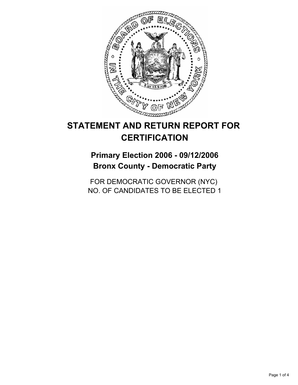

# **STATEMENT AND RETURN REPORT FOR CERTIFICATION**

## **Primary Election 2006 - 09/12/2006 Bronx County - Democratic Party**

FOR DEMOCRATIC GOVERNOR (NYC) NO. OF CANDIDATES TO BE ELECTED 1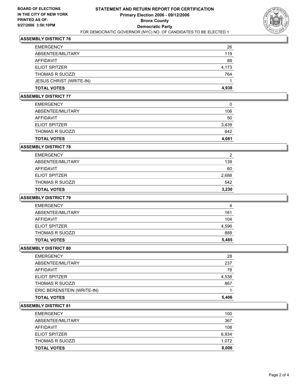

## **ASSEMBLY DISTRICT 76**

| <b>EMERGENCY</b>               | 26    |
|--------------------------------|-------|
| ABSENTEE/MILITARY              | 119   |
| AFFIDAVIT                      | 89    |
| <b>ELIOT SPITZER</b>           | 4,173 |
| <b>THOMAS R SUOZZI</b>         | 764   |
| <b>JESUS CHRIST (WRITE-IN)</b> |       |
| <b>TOTAL VOTES</b>             | 4,938 |

#### **ASSEMBLY DISTRICT 77**

| <b>EMERGENCY</b>       | 0     |
|------------------------|-------|
| ABSENTEE/MILITARY      | 106   |
| AFFIDAVIT              | 50    |
| <b>ELIOT SPITZER</b>   | 3,439 |
| <b>THOMAS R SUOZZI</b> | 642   |
| <b>TOTAL VOTES</b>     | 4,081 |

## **ASSEMBLY DISTRICT 78**

| <b>TOTAL VOTES</b>     | 3,230 |
|------------------------|-------|
| <b>THOMAS R SUOZZI</b> | 542   |
| <b>ELIOT SPITZER</b>   | 2,688 |
| AFFIDAVIT              | 60    |
| ABSENTEE/MILITARY      | 139   |
| <b>EMERGENCY</b>       |       |

## **ASSEMBLY DISTRICT 79**

| <b>TOTAL VOTES</b>     | 5,485 |
|------------------------|-------|
| <b>THOMAS R SUOZZI</b> | 889   |
| <b>ELIOT SPITZER</b>   | 4,596 |
| AFFIDAVIT              | 104   |
| ABSENTEE/MILITARY      | 161   |
| <b>EMERGENCY</b>       | 4     |

#### **ASSEMBLY DISTRICT 80**

| <b>TOTAL VOTES</b>         | 5,406 |
|----------------------------|-------|
| ERIC BERENSTEIN (WRITE-IN) |       |
| <b>THOMAS R SUOZZI</b>     | 867   |
| <b>ELIOT SPITZER</b>       | 4,538 |
| <b>AFFIDAVIT</b>           | 78    |
| ABSENTEE/MILITARY          | 237   |
| <b>EMERGENCY</b>           | 28    |

## **ASSEMBLY DISTRICT 81**

| 100   |
|-------|
| 367   |
| 108   |
| 6,934 |
| 1,072 |
| 8,006 |
|       |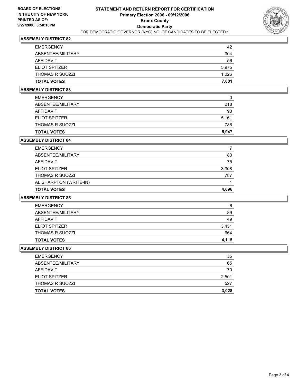

## **ASSEMBLY DISTRICT 82**

| <b>EMERGENCY</b>       | 42    |
|------------------------|-------|
| ABSENTEE/MILITARY      | 304   |
| AFFIDAVIT              | 56    |
| <b>ELIOT SPITZER</b>   | 5,975 |
| <b>THOMAS R SUOZZI</b> | 1,026 |
| <b>TOTAL VOTES</b>     | 7,001 |

## **ASSEMBLY DISTRICT 83**

| <b>EMERGENCY</b>       | 0     |
|------------------------|-------|
| ABSENTEE/MILITARY      | 218   |
| AFFIDAVIT              | 93    |
| <b>ELIOT SPITZER</b>   | 5,161 |
| <b>THOMAS R SUOZZI</b> | 786   |
| <b>TOTAL VOTES</b>     | 5,947 |

#### **ASSEMBLY DISTRICT 84**

| <b>EMERGENCY</b>       |       |
|------------------------|-------|
| ABSENTEE/MILITARY      | 83    |
| AFFIDAVIT              | 75    |
| <b>ELIOT SPITZER</b>   | 3,308 |
| <b>THOMAS R SUOZZI</b> | 787   |
| AL SHARPTON (WRITE-IN) |       |
| <b>TOTAL VOTES</b>     | 4,096 |

#### **ASSEMBLY DISTRICT 85**

| <b>EMERGENCY</b>     | 6     |
|----------------------|-------|
| ABSENTEE/MILITARY    | 89    |
| AFFIDAVIT            | 49    |
| <b>ELIOT SPITZER</b> | 3,451 |
| THOMAS R SUOZZI      | 664   |
| <b>TOTAL VOTES</b>   | 4,115 |

#### **ASSEMBLY DISTRICT 86**

| 35    |
|-------|
| 65    |
| 70    |
| 2,501 |
| 527   |
| 3,028 |
|       |